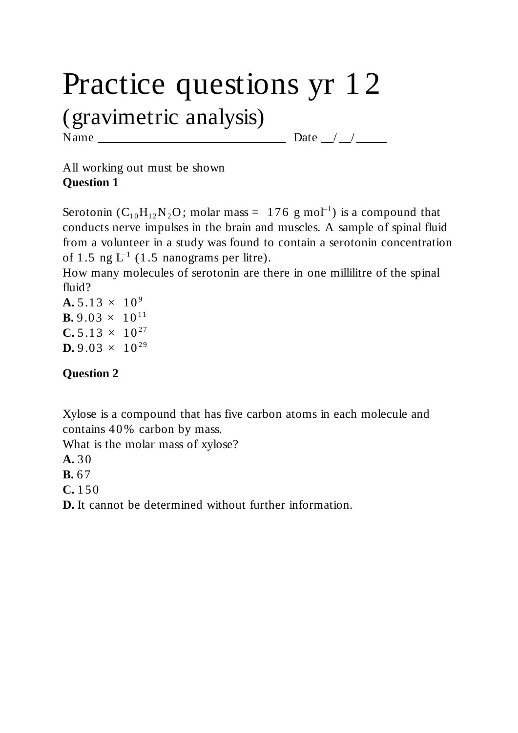# Practice questions yr 12 (gravimetric analysis)

Name \_\_\_\_\_\_\_\_\_\_\_\_\_\_\_\_\_\_\_\_\_\_\_\_\_\_\_\_\_\_\_ Date \_\_/ \_\_/ \_\_\_\_\_

All working out must be shown **Question 1**

Serotonin ( $C_{10}H_{12}N_2O$ ; molar mass = 176 g mol<sup>-1</sup>) is a compound that conducts nerve impulses in the brain and muscles. A sample of spinal fluid from a volunteer in a study was found to contain a serotonin concentration of 1.5 ng  $L^{-1}$  (1.5 nanograms per litre).

How many molecules of serotonin are there in one millilitre of the spinal fluid?

 $A. 5.13 \times 10^{9}$ **B.** 9.03  $\times$  10<sup>11</sup>  $C. 5.13 \times 10^{27}$ **D.**  $9.03 \times 10^{29}$ 

#### **Question 2**

Xylose is a compound that has five carbon atoms in each molecule and contains 40% carbon by mass.

What is the molar mass of xylose?

**A.** 30

**B.** 67

**C.** 150

**D.** It cannot be determined without further information.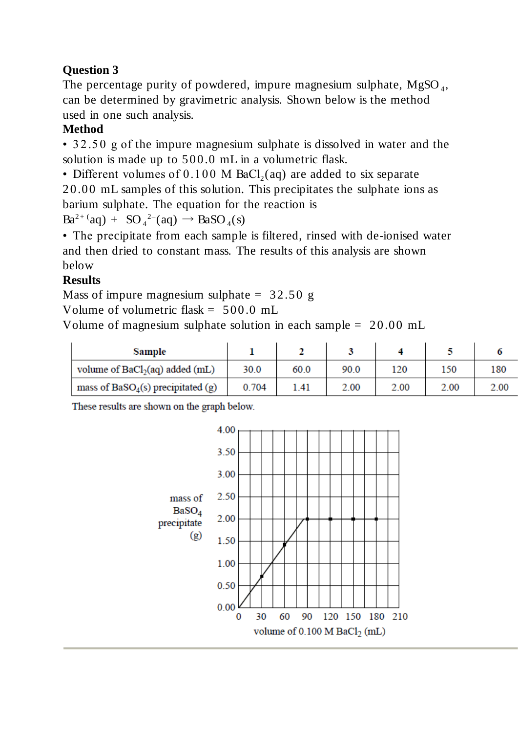# **Question 3**

The percentage purity of powdered, impure magnesium sulphate,  $MgSO<sub>4</sub>$ , can be determined by gravimetric analysis. Shown below is the method used in one such analysis.

## **Method**

• 32.50 g of the impure magnesium sulphate is dissolved in water and the solution is made up to 500.0 mL in a volumetric flask.

• Different volumes of  $0.100$  M BaCl<sub>2</sub>(aq) are added to six separate 20.00 mL samples of this solution. This precipitates the sulphate ions as barium sulphate. The equation for the reaction is

 $Ba^{2+}(aq) + SO_4^{2-}(aq) \rightarrow BaSO_4(s)$ 

• The precipitate from each sample is filtered, rinsed with de-ionised water and then dried to constant mass. The results of this analysis are shown below

# **Results**

Mass of impure magnesium sulphate  $= 32.50$  g

Volume of volumetric flask =  $500.0$  mL

Volume of magnesium sulphate solution in each sample = 20.00 mL

| Sample                              |       |      |      |      |      |      |
|-------------------------------------|-------|------|------|------|------|------|
| volume of $BaCl2(aq)$ added (mL)    | 30.0  | 60.0 | 90.0 | 120  | 150  | 180  |
| mass of $BaSO4(s)$ precipitated (g) | 0.704 | 1.41 | 2.00 | 2.00 | 2.00 | 2.00 |

These results are shown on the graph below.

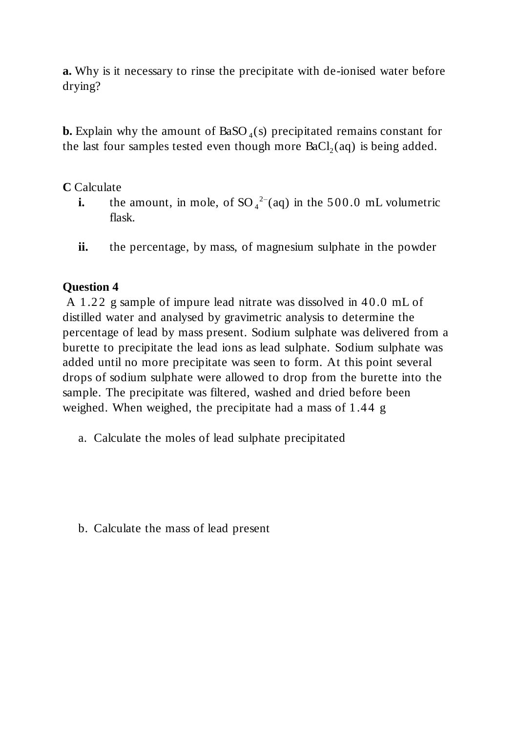**a.** Why is it necessary to rinse the precipitate with de-ionised water before drying?

**b.** Explain why the amount of  $BaSO_4(s)$  precipitated remains constant for the last four samples tested even though more  $BaCl<sub>2</sub>(aq)$  is being added.

#### **C** Calculate

- **i.** the amount, in mole, of  $SO_4^2$ <sup>-</sup>(aq) in the 500.0 mL volumetric flask.
- **ii.** the percentage, by mass, of magnesium sulphate in the powder

#### **Question 4**

A 1.22 g sample of impure lead nitrate was dissolved in 40.0 mL of distilled water and analysed by gravimetric analysis to determine the percentage of lead by mass present. Sodium sulphate was delivered from a burette to precipitate the lead ions as lead sulphate. Sodium sulphate was added until no more precipitate was seen to form. At this point several drops of sodium sulphate were allowed to drop from the burette into the sample. The precipitate was filtered, washed and dried before been weighed. When weighed, the precipitate had a mass of 1.44 g

a. Calculate the moles of lead sulphate precipitated

b. Calculate the mass of lead present